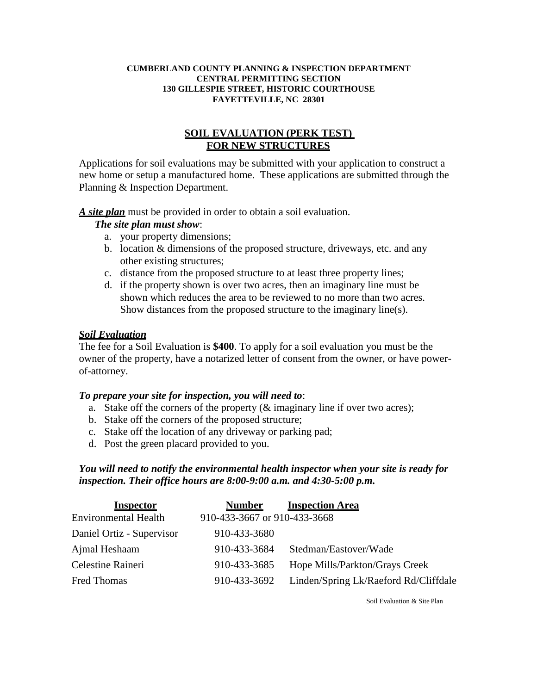#### **CUMBERLAND COUNTY PLANNING & INSPECTION DEPARTMENT CENTRAL PERMITTING SECTION 130 GILLESPIE STREET, HISTORIC COURTHOUSE FAYETTEVILLE, NC 28301**

# **SOIL EVALUATION (PERK TEST) FOR NEW STRUCTURES**

Applications for soil evaluations may be submitted with your application to construct a new home or setup a manufactured home. These applications are submitted through the Planning & Inspection Department.

*A site plan* must be provided in order to obtain a soil evaluation.

#### *The site plan must show*:

- a. your property dimensions;
- b. location & dimensions of the proposed structure, driveways, etc. and any other existing structures;
- c. distance from the proposed structure to at least three property lines;
- d. if the property shown is over two acres, then an imaginary line must be shown which reduces the area to be reviewed to no more than two acres. Show distances from the proposed structure to the imaginary line(s).

#### *Soil Evaluation*

The fee for a Soil Evaluation is **\$400**. To apply for a soil evaluation you must be the owner of the property, have a notarized letter of consent from the owner, or have powerof-attorney.

# *To prepare your site for inspection, you will need to*:

- a. Stake off the corners of the property (& imaginary line if over two acres);
- b. Stake off the corners of the proposed structure;
- c. Stake off the location of any driveway or parking pad;
- d. Post the green placard provided to you.

# *You will need to notify the environmental health inspector when your site is ready for inspection. Their office hours are 8:00-9:00 a.m. and 4:30-5:00 p.m.*

| <b>Inspector</b>            | <b>Number</b>                | <b>Inspection Area</b>                |
|-----------------------------|------------------------------|---------------------------------------|
| <b>Environmental Health</b> | 910-433-3667 or 910-433-3668 |                                       |
| Daniel Ortiz - Supervisor   | 910-433-3680                 |                                       |
| Ajmal Heshaam               | 910-433-3684                 | Stedman/Eastover/Wade                 |
| Celestine Raineri           | 910-433-3685                 | Hope Mills/Parkton/Grays Creek        |
| <b>Fred Thomas</b>          | 910-433-3692                 | Linden/Spring Lk/Raeford Rd/Cliffdale |

Soil Evaluation & Site Plan